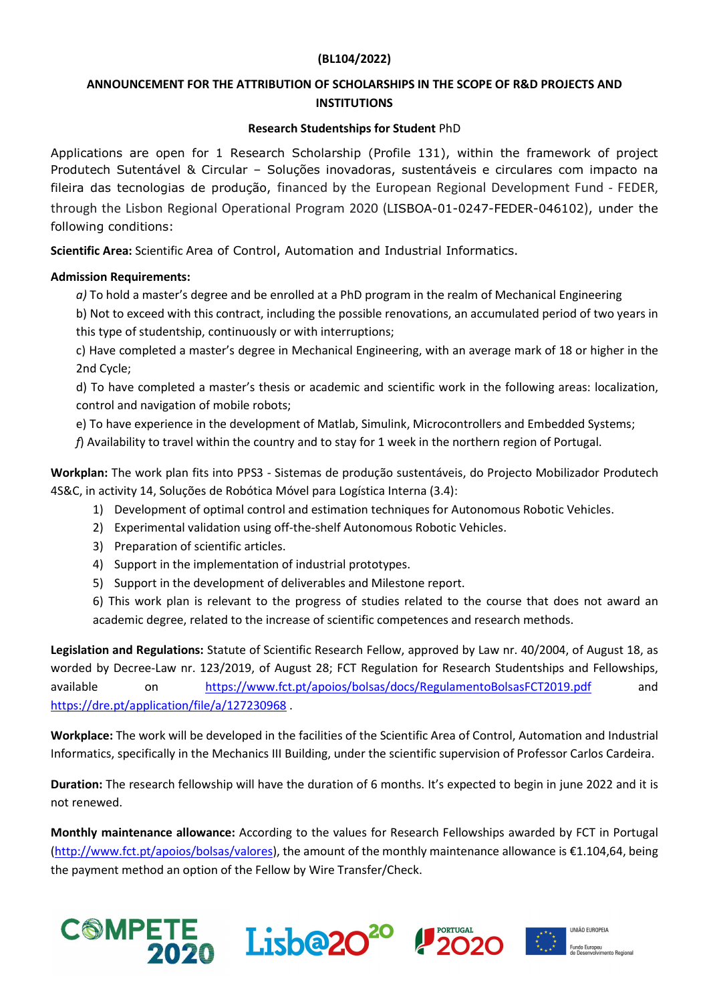## (BL104/2022)

## ANNOUNCEMENT FOR THE ATTRIBUTION OF SCHOLARSHIPS IN THE SCOPE OF R&D PROJECTS AND **INSTITUTIONS**

## Research Studentships for Student PhD

Applications are open for 1 Research Scholarship (Profile 131), within the framework of project Produtech Sutentável & Circular – Soluções inovadoras, sustentáveis e circulares com impacto na fileira das tecnologias de produção, financed by the European Regional Development Fund - FEDER, through the Lisbon Regional Operational Program 2020 (LISBOA-01-0247-FEDER-046102), under the following conditions:

Scientific Area: Scientific Area of Control, Automation and Industrial Informatics.

## Admission Requirements:

 $a$ ) To hold a master's degree and be enrolled at a PhD program in the realm of Mechanical Engineering

b) Not to exceed with this contract, including the possible renovations, an accumulated period of two years in this type of studentship, continuously or with interruptions;

c) Have completed a master's degree in Mechanical Engineering, with an average mark of 18 or higher in the 2nd Cycle;

 d) To have completed a master's thesis or academic and scientific work in the following areas: localization, control and navigation of mobile robots;

e) To have experience in the development of Matlab, Simulink, Microcontrollers and Embedded Systems;

 $f$ ) Availability to travel within the country and to stay for 1 week in the northern region of Portugal.

Workplan: The work plan fits into PPS3 - Sistemas de produção sustentáveis, do Projecto Mobilizador Produtech 4S&C, in activity 14, Soluções de Robótica Móvel para Logística Interna (3.4):

- 1) Development of optimal control and estimation techniques for Autonomous Robotic Vehicles.
- 2) Experimental validation using off-the-shelf Autonomous Robotic Vehicles.
- 3) Preparation of scientific articles.
- 4) Support in the implementation of industrial prototypes.
- 5) Support in the development of deliverables and Milestone report.

6) This work plan is relevant to the progress of studies related to the course that does not award an academic degree, related to the increase of scientific competences and research methods.

Legislation and Regulations: Statute of Scientific Research Fellow, approved by Law nr. 40/2004, of August 18, as worded by Decree-Law nr. 123/2019, of August 28; FCT Regulation for Research Studentships and Fellowships, available on https://www.fct.pt/apoios/bolsas/docs/RegulamentoBolsasFCT2019.pdf and https://dre.pt/application/file/a/127230968 .

Workplace: The work will be developed in the facilities of the Scientific Area of Control, Automation and Industrial Informatics, specifically in the Mechanics III Building, under the scientific supervision of Professor Carlos Cardeira.

Duration: The research fellowship will have the duration of 6 months. It's expected to begin in june 2022 and it is not renewed.

Monthly maintenance allowance: According to the values for Research Fellowships awarded by FCT in Portugal (http://www.fct.pt/apoios/bolsas/valores), the amount of the monthly maintenance allowance is €1.104,64, being the payment method an option of the Fellow by Wire Transfer/Check.